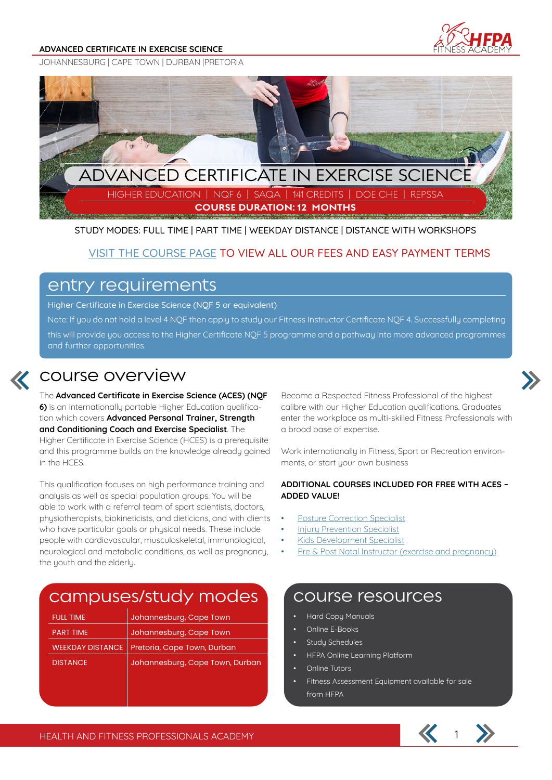#### **ADVANCED CERTIFICATE IN EXERCISE SCIENCE**



JOHANNESBURG | CAPE TOWN | DURBAN |PRETORIA



STUDY MODES: FULL TIME | PART TIME | WEEKDAY DISTANCE | DISTANCE WITH WORKSHOPS

### VISIT THE COURSE PAGE TO VIEW ALL OUR FEES AND EASY PAYMENT TERMS

### entry requirements

Higher Certificate in Exercise Science (NQF 5 or equivalent)

Note: If you do not hold a level 4 NQF then apply to study our Fitness Instructor Certificate NQF 4. Successfully completing this will provide you access to the Higher Certificate NQF 5 programme and a pathway into more advanced programmes and further opportunities.



### course overview

The **Advanced Certificate in Exercise Science (ACES) (NQF 6)** is an internationally portable Higher Education qualification which covers **Advanced Personal Trainer, Strength and Conditioning Coach and Exercise Specialist**. The Higher Certificate in Exercise Science (HCES) is a prerequisite and this programme builds on the knowledge already gained in the HCES.

This qualification focuses on high performance training and analysis as well as special population groups. You will be able to work with a referral team of sport scientists, doctors, physiotherapists, biokineticists, and dieticians, and with clients who have particular goals or physical needs. These include people with cardiovascular, musculoskeletal, immunological, neurological and metabolic conditions, as well as pregnancy, the youth and the elderly.

### Become a Respected Fitness Professional of the highest calibre with our Higher Education qualifications. Graduates enter the workplace as multi-skilled Fitness Professionals with a broad base of expertise.

Work internationally in Fitness, Sport or Recreation environments, or start your own business

#### **ADDITIONAL COURSES INCLUDED FOR FREE WITH ACES – ADDED VALUE!**

- Posture Correction Specialist
- Injury Prevention Specialist
- Kids Development Specialist
- Pre & Post Natal Instructor (exercise and pregnancy)

### campuses/study modes | course resources

| <b>FULL TIME</b> | Johannesburg, Cape Town                        |
|------------------|------------------------------------------------|
| <b>PART TIME</b> | Johannesburg, Cape Town                        |
|                  | WEEKDAY DISTANCE   Pretoria, Cape Town, Durban |
| <b>DISTANCE</b>  | Johannesburg, Cape Town, Durban                |

- Hard Copy Manuals
- Online E-Books
- Study Schedules
- HFPA Online Learning Platform
- **Online Tutors**
- Fitness Assessment Equipment available for sale from HFPA

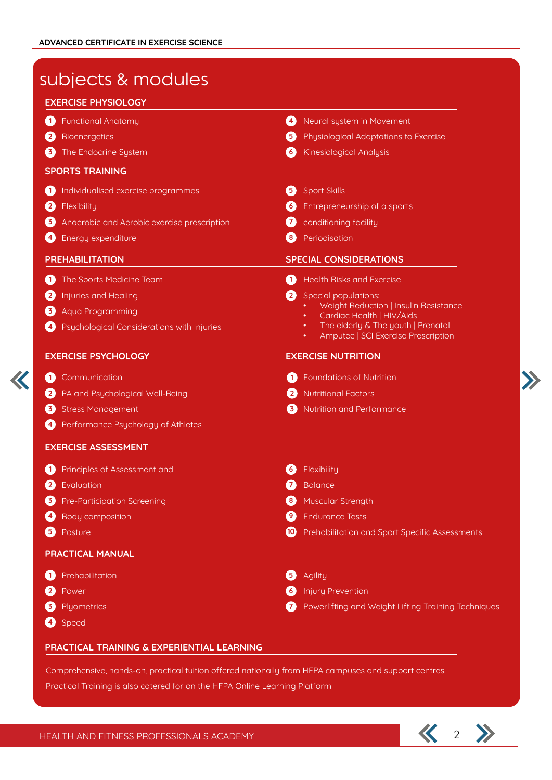K

| <b>EXERCISE PHYSIOLOGY</b>                                 |                                                                                     |
|------------------------------------------------------------|-------------------------------------------------------------------------------------|
| <b>Functional Anatomy</b>                                  | Neural system in Movement<br>$\left( 4\right)$                                      |
| <b>Bioenergetics</b>                                       | 6                                                                                   |
| $\mathbf{2}$                                               | Physiological Adaptations to Exercise                                               |
| $\left( 3 \right)$                                         | 6                                                                                   |
| The Endocrine System                                       | <b>Kinesiological Analysis</b>                                                      |
| <b>SPORTS TRAINING</b>                                     |                                                                                     |
| Individualised exercise programmes                         | Sport Skills                                                                        |
| 0                                                          | 6                                                                                   |
| Flexibility                                                | Entrepreneurship of a sports                                                        |
| $\mathbf{2}$                                               | $\left[6\right]$                                                                    |
| Anaerobic and Aerobic exercise prescription                | conditioning facility                                                               |
| 3.                                                         | (7)                                                                                 |
| Energy expenditure                                         | Periodisation                                                                       |
| $\mathbf{A}$                                               | $\left( \begin{array}{c} 8 \end{array} \right)$                                     |
| <b>PREHABILITATION</b>                                     | <b>SPECIAL CONSIDERATIONS</b>                                                       |
| The Sports Medicine Team                                   | <b>Health Risks and Exercise</b>                                                    |
| (1)                                                        | 0                                                                                   |
| $\mathbf{2}$                                               | $\mathbf{2}$                                                                        |
| Injuries and Healing                                       | Special populations:                                                                |
| Aqua Programming<br>3                                      | Weight Reduction   Insulin Resistance<br>Cardiac Health   HIV/Aids<br>$\bullet$     |
| Psychological Considerations with Injuries<br>$\mathbf{A}$ | The elderly & The youth   Prenatal<br>٠<br>Amputee   SCI Exercise Prescription<br>٠ |
| <b>EXERCISE PSYCHOLOGY</b>                                 | <b>EXERCISE NUTRITION</b>                                                           |
| Communication                                              | <b>Foundations of Nutrition</b>                                                     |
| O                                                          | $\mathbf \Omega$                                                                    |
| PA and Psychological Well-Being                            | <b>Nutritional Factors</b>                                                          |
| $\left( 2\right)$                                          | $\mathbf{2}$                                                                        |
| 6                                                          | Nutrition and Performance                                                           |
| <b>Stress Management</b>                                   | 61                                                                                  |
| Performance Psychology of Athletes                         |                                                                                     |
| <b>EXERCISE ASSESSMENT</b>                                 |                                                                                     |
| Principles of Assessment and                               | Flexibility                                                                         |
| 0                                                          | $\left( 6\right)$                                                                   |
| $\left( 2\right)$                                          | $\boldsymbol{a}$                                                                    |
| Evaluation                                                 | <b>Balance</b>                                                                      |
| Pre-Participation Screening                                | Muscular Strength                                                                   |
| $\mathbf{3}$                                               | $\mathbf{8}$                                                                        |
| <b>Body composition</b>                                    | <b>Endurance Tests</b>                                                              |
| $\left( 4 \right)$                                         | $\bullet$                                                                           |
| 6                                                          | <b>10</b>                                                                           |
| Posture                                                    | Prehabilitation and Sport Specific Assessments                                      |
| PRACTICAL MANUAL                                           |                                                                                     |
| Prehabilitation                                            | 6                                                                                   |
| $\left( 1\right)$                                          | Agility                                                                             |
| $\mathbf{2}$                                               | <b>Injury Prevention</b>                                                            |
| Power                                                      | $\left( 6\right)$                                                                   |
| Plyometrics                                                | Powerlifting and Weight Lifting Training Techniques                                 |
| 3.                                                         | 7                                                                                   |

### **PRACTICAL TRAINING & EXPERIENTIAL LEARNING**

Comprehensive, hands-on, practical tuition offered nationally from HFPA campuses and support centres. Practical Training is also catered for on the HFPA Online Learning Platform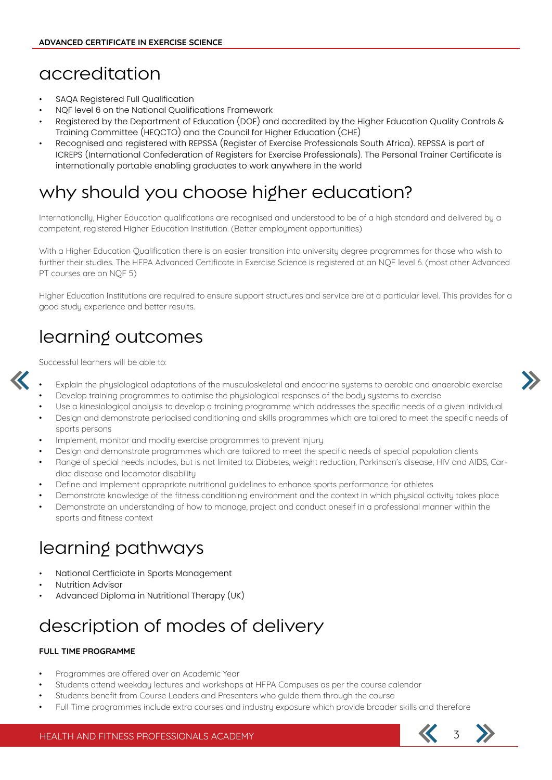### accreditation

- SAQA Registered Full Qualification
- NQF level 6 on the National Qualifications Framework
- Registered by the Department of Education (DOE) and accredited by the Higher Education Quality Controls & Training Committee (HEQCTO) and the Council for Higher Education (CHE)
- Recognised and registered with REPSSA (Register of Exercise Professionals South Africa). REPSSA is part of ICREPS (International Confederation of Registers for Exercise Professionals). The Personal Trainer Certificate is internationally portable enabling graduates to work anywhere in the world

### why should you choose higher education?

Internationally, Higher Education qualifications are recognised and understood to be of a high standard and delivered by a competent, registered Higher Education Institution. (Better employment opportunities)

With a Higher Education Qualification there is an easier transition into university degree programmes for those who wish to further their studies. The HFPA Advanced Certificate in Exercise Science is registered at an NQF level 6. (most other Advanced PT courses are on NQF 5)

Higher Education Institutions are required to ensure support structures and service are at a particular level. This provides for a good study experience and better results.

# learning outcomes

Successful learners will be able to:



- Explain the physiological adaptations of the musculoskeletal and endocrine systems to aerobic and anaerobic exercise
- Develop training programmes to optimise the physiological responses of the body systems to exercise
- Use a kinesiological analysis to develop a training programme which addresses the specific needs of a given individual
- Design and demonstrate periodised conditioning and skills programmes which are tailored to meet the specific needs of sports persons
- Implement, monitor and modify exercise programmes to prevent injury
- Design and demonstrate programmes which are tailored to meet the specific needs of special population clients
- Range of special needs includes, but is not limited to: Diabetes, weight reduction, Parkinson's disease, HIV and AIDS, Cardiac disease and locomotor disability
- Define and implement appropriate nutritional guidelines to enhance sports performance for athletes
- Demonstrate knowledge of the fitness conditioning environment and the context in which physical activity takes place
- Demonstrate an understanding of how to manage, project and conduct oneself in a professional manner within the sports and fitness context

# learning pathways

- National Certficiate in Sports Management
- Nutrition Advisor
- Advanced Diploma in Nutritional Therapy (UK)

# description of modes of delivery

#### **FULL TIME PROGRAMME**

- Programmes are offered over an Academic Year
- Students attend weekday lectures and workshops at HFPA Campuses as per the course calendar
- Students benefit from Course Leaders and Presenters who guide them through the course
- Full Time programmes include extra courses and industry exposure which provide broader skills and therefore